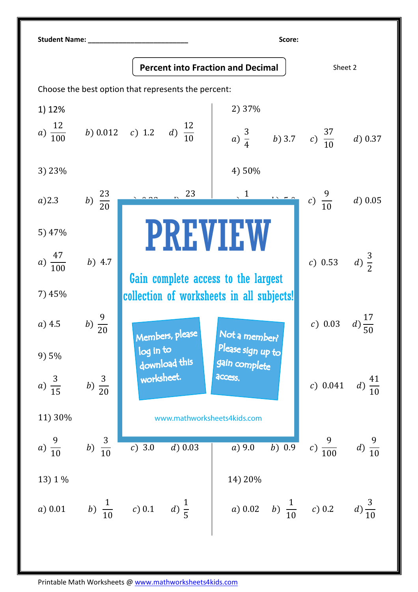| <b>Student Name:</b><br>Score:                      |                    |                                           |                                                    |                          |                    |  |  |  |
|-----------------------------------------------------|--------------------|-------------------------------------------|----------------------------------------------------|--------------------------|--------------------|--|--|--|
|                                                     |                    | <b>Percent into Fraction and Decimal</b>  |                                                    | Sheet 2                  |                    |  |  |  |
| Choose the best option that represents the percent: |                    |                                           |                                                    |                          |                    |  |  |  |
| 1) 12%                                              |                    |                                           | 2) 37%                                             |                          |                    |  |  |  |
| $a) \frac{12}{100}$                                 |                    | b) 0.012 c) 1.2 d) $\frac{12}{10}$        | a) $\frac{3}{4}$ b) 3.7 c) $\frac{37}{10}$ d) 0.37 |                          |                    |  |  |  |
| 3) 23%                                              |                    |                                           | 4) 50%                                             |                          |                    |  |  |  |
| $a)$ 2.3                                            | b) $\frac{23}{20}$ | 23                                        |                                                    | c) $\frac{9}{10}$        | $d)$ 0.05          |  |  |  |
| 5) 47%                                              |                    | <b>PREVIEW</b>                            |                                                    |                          |                    |  |  |  |
| $a) \frac{47}{100}$                                 | $b)$ 4.7           | Gain complete access to the largest       |                                                    | c) 0.53 d) $\frac{3}{2}$ |                    |  |  |  |
| 7) 45%                                              |                    | collection of worksheets in all subjects! |                                                    |                          |                    |  |  |  |
| $a)$ 4.5                                            | $b) \frac{9}{20}$  | Members, please                           | Not a member?                                      | c) 0.03                  |                    |  |  |  |
| 9) 5%                                               |                    | log in to<br>download this                | Please sign up to<br>gain complete                 |                          |                    |  |  |  |
| a) $\frac{3}{15}$                                   | b) $\frac{3}{20}$  | worksheet.                                | access.                                            | c) 0.041                 | $d) \frac{41}{10}$ |  |  |  |
| 11) 30%                                             |                    | www.mathworksheets4kids.com               |                                                    |                          |                    |  |  |  |
| $a) \frac{9}{10}$                                   | b) $\frac{3}{10}$  | c) 3.0<br>$d)$ 0.03                       | $b)$ 0.9<br>$a)$ 9.0                               | c) $\frac{9}{100}$       | $d) \frac{9}{10}$  |  |  |  |
| 13) 1 %                                             |                    |                                           | 14) 20%                                            |                          |                    |  |  |  |
| a) 0.01                                             |                    | b) $\frac{1}{10}$ c) 0.1 d) $\frac{1}{5}$ | a) 0.02 b) $\frac{1}{10}$ c) 0.2                   |                          | $d) \frac{3}{10}$  |  |  |  |